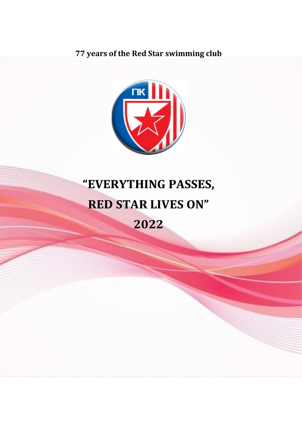77 years of the Red Star swimming club



# "EVERYTHING PASSES, RED STAR LIVES ON" 2022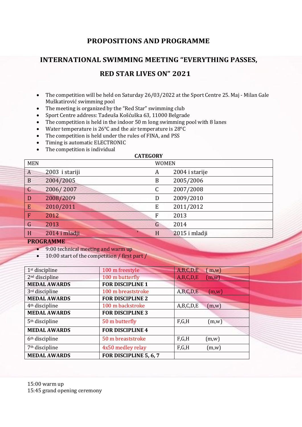## PROPOSITIONS AND PROGRAMME

## INTERNATIONAL SWIMMING MEETING "EVERYTHING PASSES,

## RED STAR LIVES ON" 2021

- The competition will be held on Saturday 26/03/2022 at the Sport Centre 25. Maj Milan Gale Muškatirović swimming pool
- The meeting is organized by the "Red Star" swimming club
- Sport Centre address: Tadeuša Košćuška 63, 11000 Belgrade
- The competition is held in the indoor 50 m long swimming pool with 8 lanes
- Water temperature is 26°C and the air temperature is 28°C
- The competition is held under the rules of FINA, and PSS
- Timing is automatic ELECTRONIC
- The competition is individual

| <b>CATEGORY</b> |                |  |                |                |  |
|-----------------|----------------|--|----------------|----------------|--|
| <b>MEN</b>      |                |  | <b>WOMEN</b>   |                |  |
| $\overline{A}$  | 2003 i stariji |  | A              | 2004 i starije |  |
| B               | 2004/2005      |  | B              | 2005/2006      |  |
| $\mathsf{C}$    | 2006/2007      |  | C              | 2007/2008      |  |
| D               | 2008/2009      |  | D              | 2009/2010      |  |
| E               | 2010/2011      |  | ${\bf E}$      | 2011/2012      |  |
| F               | 2012           |  | $\overline{F}$ | 2013           |  |
| $\mathsf G$     | 2013           |  | G              | 2014           |  |
| H               | 2014 i mladji  |  | H              | 2015 i mladji  |  |
| DDACD AMME      |                |  |                |                |  |

#### PROGRAMME

- 9:00 technical meeting and warm up
- 10:00 start of the competition / first part /

| $1st$ discipline           | 100 m freestyle         | A,B,C,D,E | (m,w)         |
|----------------------------|-------------------------|-----------|---------------|
| 2 <sup>nd</sup> discipline | 100 m butterfly         | A,B,C,D,E | $(m,\bar{w})$ |
| <b>MEDAL AWARDS</b>        | <b>FOR DISCIPLINE 1</b> |           |               |
| 3rd discipline             | 100 m breaststroke      | A,B,C,D,E | (m,w)         |
| <b>MEDAL AWARDS</b>        | <b>FOR DISCIPLINE 2</b> |           |               |
| 4 <sup>th</sup> discipline | 100 m backstroke        | A,B,C,D,E | (m,w)         |
| <b>MEDAL AWARDS</b>        | <b>FOR DISCIPLINE 3</b> |           |               |
| 5 <sup>th</sup> discipline | 50 m butterfly          | F,G,H     | (m,w)         |
| <b>MEDAL AWARDS</b>        | <b>FOR DISCIPLINE 4</b> |           |               |
| 6 <sup>th</sup> discipline | 50 m breaststroke       | F,G,H     | (m,w)         |
| 7 <sup>th</sup> discipline | 4x50 medley relay       | F,G,H     | (m,w)         |
| <b>MEDAL AWARDS</b>        | FOR DISCIPLINE 5, 6, 7  |           |               |

15:45 grand opening ceremony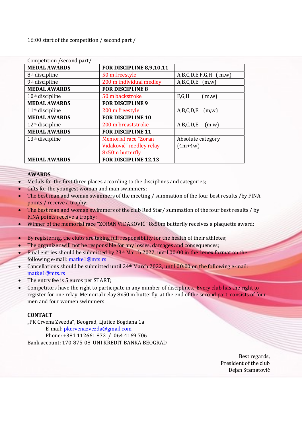16:00 start of the competition / second part /

| Competition / second part/  |                             |                            |  |  |
|-----------------------------|-----------------------------|----------------------------|--|--|
| <b>MEDAL AWARDS</b>         | FOR DISCIPLINE 8,9,10,11    |                            |  |  |
| 8 <sup>th</sup> discipline  | 50 m freestyle              | A,B,C,D,E,F,G,H<br>(m,w)   |  |  |
| 9 <sup>th</sup> discipline  | 200 m individual medley     | $A,B,C,D,E$ (m,w)          |  |  |
| <b>MEDAL AWARDS</b>         | <b>FOR DISCIPLINE 8</b>     |                            |  |  |
| $10th$ discipline           | 50 m backstroke             | F,G,H<br>$\mathbf{m}$ , w) |  |  |
| <b>MEDAL AWARDS</b>         | <b>FOR DISCIPLINE 9</b>     |                            |  |  |
| 11 <sup>th</sup> discipline | 200 m freestyle             | A,B,C,D,E<br>(m,w)         |  |  |
| <b>MEDAL AWARDS</b>         | <b>FOR DISCIPLINE 10</b>    |                            |  |  |
| $12th$ discipline           | 200 m breaststroke          | A,B,C,D,E<br>(m,w)         |  |  |
| <b>MEDAL AWARDS</b>         | <b>FOR DISCIPLINE 11</b>    |                            |  |  |
| $13th$ discipline           | <b>Memorial race "Zoran</b> | Absolute category          |  |  |
|                             | Vidaković" medley relay     | $(4m+4w)$                  |  |  |
|                             | 8x50m butterfly             |                            |  |  |
| <b>MEDAL AWARDS</b>         | FOR DISCIPLINE 12,13        |                            |  |  |

#### AWARDS

- $\bullet$  Medals for the first three places according to the disciplines and categories;
- Gifts for the youngest woman and man swimmers;
- The best man and woman swimmers of the meeting / summation of the four best results /by FINA points / receive a trophy;
- The best man and woman swimmers of the club Red Star/ summation of the four best results / by FINA points receive a trophy;
- Winner of the memorial race "ZORAN VIDAKOVIĆ" 8x50m butterfly receives a plaquette award;
- By registering, the clubs are taking full responsibility for the health of their athletes;
- The organizer will not be responsible for any losses, damages and consequences;
- Final entries should be submitted by 23<sup>th</sup> March 2022, until 00:00 in the Lenex format on the following e-mail: matke1@mts.rs
- Cancellations should be submitted until 24<sup>th</sup> March 2022, until 00:00 on the following e-mail: matke1@mts.rs
- The entry fee is 5 euros per START;
- Competitors have the right to participate in any number of disciplines. Every club has the right to register for one relay. Memorial relay 8x50 m butterfly, at the end of the second part, consists of four men and four women swimmers.

#### **CONTACT**

"PK Crvena Zvezda", Beograd, Ljutice Bogdana 1a E-mail: pkcrvenazvezda@gmail.com Phone: +381 112661 872 / 064 4169 706 Bank account: 170-875-08 UNI KREDIT BANKA BEOGRAD

> Best regards, President of the club Dejan Stamatović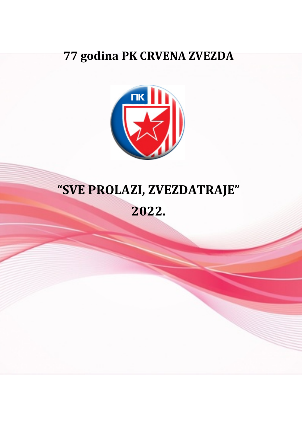## **77 godina PK CRVENA ZVEZDA**



# **"SVE PROLAZI, ZVEZDATRAJE"**

**2022.**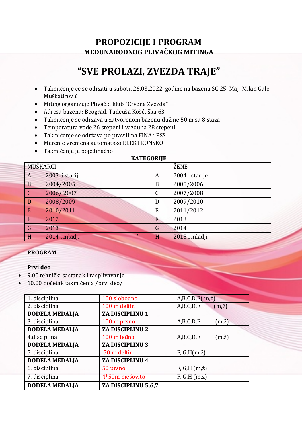## **PROPOZICIJE I PROGRAM MEĐUNARODNOG PLIVAČKOG MITINGA**

## **"SVE PROLAZI, ZVEZDA TRAJE"**

- Takmičenje će se održati u subotu 26.03.2022. godine na bazenu SC 25. Maj- Milan Gale Muškatirović
- Miting organizuje Plivački klub "Crvena Zvezda"
- Adresa bazena: Beograd, Tadeuša Košćuška 63
- Takmičenje se održava u zatvorenom bazenu dužine 50 m sa 8 staza
- Temperatura vode 26 stepeni i vazduha 28 stepeni
- Takmičenje se održava po pravilima FINA i PSS
- Merenje vremena automatsko ELEKTRONSKO
- Takmičenje je pojedinačno

#### **KATEGORIJE**

|                | MUŠKARCI       |                  | ŽENE           |
|----------------|----------------|------------------|----------------|
| A              | 2003 i stariji | A                | 2004 i starije |
| $\mathbf B$    | 2004/2005      | $\boldsymbol{B}$ | 2005/2006      |
| $\mathsf C$    | 2006/2007      | $\mathsf C$      | 2007/2008      |
| D              | 2008/2009      | D                | 2009/2010      |
| E              | 2010/2011      | E                | 2011/2012      |
| $\mathbf{F}$   | 2012           | F                | 2013           |
| $\overline{G}$ | 2013           | G                | 2014           |
| H              | 2014 i mladji  | H                | 2015 i mladji  |

### **PROGRAM**

### **Prvi deo**

- 9.00 tehnički sastanak i rasplivavanje
- 10.00 početak takmičenja /prvi deo/

| 100 slobodno           | $A,B,C,D,E(m,\check{z})$     |
|------------------------|------------------------------|
| 100 m delfin           | A,B,C,D,E<br>$(m,\check{z})$ |
| ZA DISCIPLINU 1        |                              |
| 100 m prsno            | A,B,C,D,E<br>$(m,\check{z})$ |
| <b>ZA DISCIPLINU 2</b> |                              |
| 100 m leđno            | A,B,C,D,E<br>$(m,\check{z})$ |
| <b>ZA DISCIPLINU 3</b> |                              |
| 50 m delfin            | $F, G, H(m,\check{z})$       |
| ZA DISCIPLINU 4        |                              |
| 50 prsno               | $F, G, H (m, \check{z})$     |
| 4*50m mešovito         | $F, G, H (m, \zeta)$         |
| ZA DISCIPLINU 5,6,7    |                              |
|                        |                              |